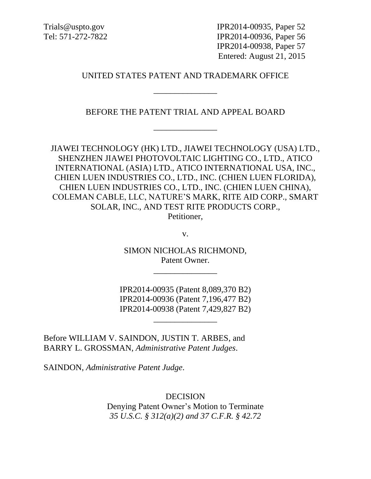Trials@uspto.gov IPR2014-00935, Paper 52 Tel: 571-272-7822 IPR2014-00936, Paper 56 IPR2014-00938, Paper 57 Entered: August 21, 2015

#### UNITED STATES PATENT AND TRADEMARK OFFICE

\_\_\_\_\_\_\_\_\_\_\_\_\_\_\_

BEFORE THE PATENT TRIAL AND APPEAL BOARD

\_\_\_\_\_\_\_\_\_\_\_\_\_\_\_

JIAWEI TECHNOLOGY (HK) LTD., JIAWEI TECHNOLOGY (USA) LTD., SHENZHEN JIAWEI PHOTOVOLTAIC LIGHTING CO., LTD., ATICO INTERNATIONAL (ASIA) LTD., ATICO INTERNATIONAL USA, INC., CHIEN LUEN INDUSTRIES CO., LTD., INC. (CHIEN LUEN FLORIDA), CHIEN LUEN INDUSTRIES CO., LTD., INC. (CHIEN LUEN CHINA), COLEMAN CABLE, LLC, NATURE'S MARK, RITE AID CORP., SMART SOLAR, INC., AND TEST RITE PRODUCTS CORP.,

Petitioner,

v.

SIMON NICHOLAS RICHMOND, Patent Owner.

\_\_\_\_\_\_\_\_\_\_\_\_\_\_\_

IPR2014-00935 (Patent 8,089,370 B2) IPR2014-00936 (Patent 7,196,477 B2) IPR2014-00938 (Patent 7,429,827 B2)

\_\_\_\_\_\_\_\_\_\_\_\_\_\_\_

Before WILLIAM V. SAINDON, JUSTIN T. ARBES, and BARRY L. GROSSMAN, *Administrative Patent Judges*.

SAINDON, *Administrative Patent Judge*.

DECISION Denying Patent Owner's Motion to Terminate *35 U.S.C. § 312(a)(2) and 37 C.F.R. § 42.72*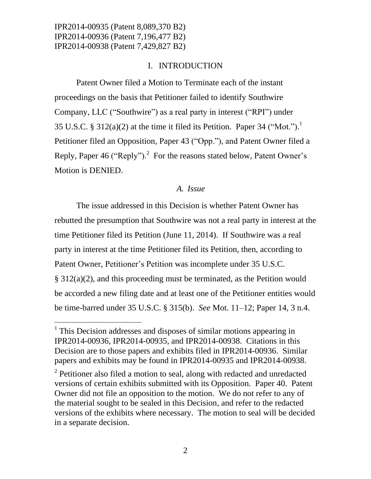l

### I. INTRODUCTION

Patent Owner filed a Motion to Terminate each of the instant proceedings on the basis that Petitioner failed to identify Southwire Company, LLC ("Southwire") as a real party in interest ("RPI") under 35 U.S.C. § 312(a)(2) at the time it filed its Petition. Paper 34 ("Mot.").<sup>1</sup> Petitioner filed an Opposition, Paper 43 ("Opp."), and Patent Owner filed a Reply, Paper 46 ("Reply").<sup>2</sup> For the reasons stated below, Patent Owner's Motion is DENIED.

## *A. Issue*

The issue addressed in this Decision is whether Patent Owner has rebutted the presumption that Southwire was not a real party in interest at the time Petitioner filed its Petition (June 11, 2014). If Southwire was a real party in interest at the time Petitioner filed its Petition, then, according to Patent Owner, Petitioner's Petition was incomplete under 35 U.S.C. § 312(a)(2), and this proceeding must be terminated, as the Petition would be accorded a new filing date and at least one of the Petitioner entities would be time-barred under 35 U.S.C. § 315(b). *See* Mot. 11–12; Paper 14, 3 n.4.

<sup>&</sup>lt;sup>1</sup> This Decision addresses and disposes of similar motions appearing in IPR2014-00936, IPR2014-00935, and IPR2014-00938. Citations in this Decision are to those papers and exhibits filed in IPR2014-00936. Similar papers and exhibits may be found in IPR2014-00935 and IPR2014-00938.

 $2$  Petitioner also filed a motion to seal, along with redacted and unredacted versions of certain exhibits submitted with its Opposition. Paper 40. Patent Owner did not file an opposition to the motion. We do not refer to any of the material sought to be sealed in this Decision, and refer to the redacted versions of the exhibits where necessary. The motion to seal will be decided in a separate decision.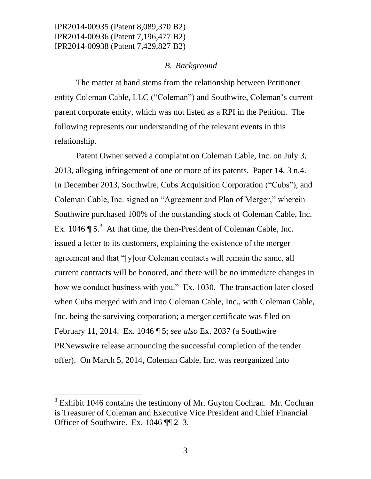#### *B. Background*

The matter at hand stems from the relationship between Petitioner entity Coleman Cable, LLC ("Coleman") and Southwire, Coleman's current parent corporate entity, which was not listed as a RPI in the Petition. The following represents our understanding of the relevant events in this relationship.

Patent Owner served a complaint on Coleman Cable, Inc. on July 3, 2013, alleging infringement of one or more of its patents. Paper 14, 3 n.4. In December 2013, Southwire, Cubs Acquisition Corporation ("Cubs"), and Coleman Cable, Inc. signed an "Agreement and Plan of Merger," wherein Southwire purchased 100% of the outstanding stock of Coleman Cable, Inc. Ex. 1046  $\P$  5.<sup>3</sup> At that time, the then-President of Coleman Cable, Inc. issued a letter to its customers, explaining the existence of the merger agreement and that "[y]our Coleman contacts will remain the same, all current contracts will be honored, and there will be no immediate changes in how we conduct business with you." Ex. 1030. The transaction later closed when Cubs merged with and into Coleman Cable, Inc., with Coleman Cable, Inc. being the surviving corporation; a merger certificate was filed on February 11, 2014. Ex. 1046 ¶ 5; *see also* Ex. 2037 (a Southwire PRNewswire release announcing the successful completion of the tender offer). On March 5, 2014, Coleman Cable, Inc. was reorganized into

 $\overline{a}$ 

 $3$  Exhibit 1046 contains the testimony of Mr. Guyton Cochran. Mr. Cochran is Treasurer of Coleman and Executive Vice President and Chief Financial Officer of Southwire. Ex. 1046 ¶¶ 2–3.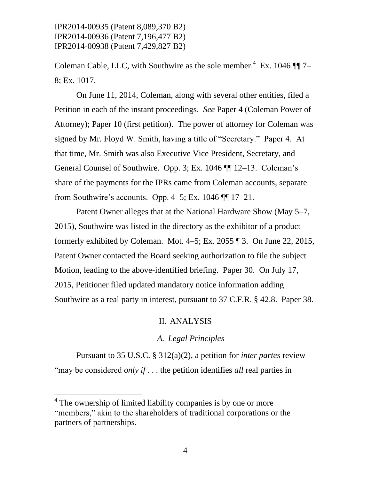Coleman Cable, LLC, with Southwire as the sole member.<sup>4</sup> Ex. 1046  $\P\P$  7– 8; Ex. 1017.

On June 11, 2014, Coleman, along with several other entities, filed a Petition in each of the instant proceedings. *See* Paper 4 (Coleman Power of Attorney); Paper 10 (first petition). The power of attorney for Coleman was signed by Mr. Floyd W. Smith, having a title of "Secretary." Paper 4. At that time, Mr. Smith was also Executive Vice President, Secretary, and General Counsel of Southwire. Opp. 3; Ex. 1046 ¶¶ 12–13. Coleman's share of the payments for the IPRs came from Coleman accounts, separate from Southwire's accounts. Opp. 4–5; Ex. 1046 ¶¶ 17–21.

Patent Owner alleges that at the National Hardware Show (May 5–7, 2015), Southwire was listed in the directory as the exhibitor of a product formerly exhibited by Coleman. Mot. 4–5; Ex. 2055 ¶ 3. On June 22, 2015, Patent Owner contacted the Board seeking authorization to file the subject Motion, leading to the above-identified briefing. Paper 30. On July 17, 2015, Petitioner filed updated mandatory notice information adding Southwire as a real party in interest, pursuant to 37 C.F.R. § 42.8. Paper 38.

#### II. ANALYSIS

#### *A. Legal Principles*

Pursuant to 35 U.S.C. § 312(a)(2), a petition for *inter partes* review "may be considered *only if* . . . the petition identifies *all* real parties in

 $\overline{a}$ 

<sup>&</sup>lt;sup>4</sup> The ownership of limited liability companies is by one or more "members," akin to the shareholders of traditional corporations or the partners of partnerships.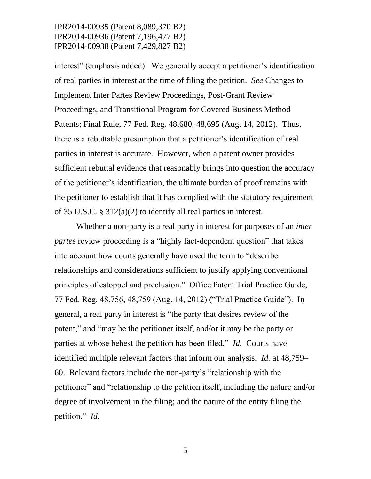interest" (emphasis added). We generally accept a petitioner's identification of real parties in interest at the time of filing the petition. *See* Changes to Implement Inter Partes Review Proceedings, Post-Grant Review Proceedings, and Transitional Program for Covered Business Method Patents; Final Rule, 77 Fed. Reg. 48,680, 48,695 (Aug. 14, 2012). Thus, there is a rebuttable presumption that a petitioner's identification of real parties in interest is accurate. However, when a patent owner provides sufficient rebuttal evidence that reasonably brings into question the accuracy of the petitioner's identification, the ultimate burden of proof remains with the petitioner to establish that it has complied with the statutory requirement of 35 U.S.C. § 312(a)(2) to identify all real parties in interest.

Whether a non-party is a real party in interest for purposes of an *inter partes* review proceeding is a "highly fact-dependent question" that takes into account how courts generally have used the term to "describe relationships and considerations sufficient to justify applying conventional principles of estoppel and preclusion." Office Patent Trial Practice Guide, 77 Fed. Reg. 48,756, 48,759 (Aug. 14, 2012) ("Trial Practice Guide"). In general, a real party in interest is "the party that desires review of the patent," and "may be the petitioner itself, and/or it may be the party or parties at whose behest the petition has been filed." *Id.* Courts have identified multiple relevant factors that inform our analysis. *Id.* at 48,759– 60. Relevant factors include the non-party's "relationship with the petitioner" and "relationship to the petition itself, including the nature and/or degree of involvement in the filing; and the nature of the entity filing the petition." *Id.*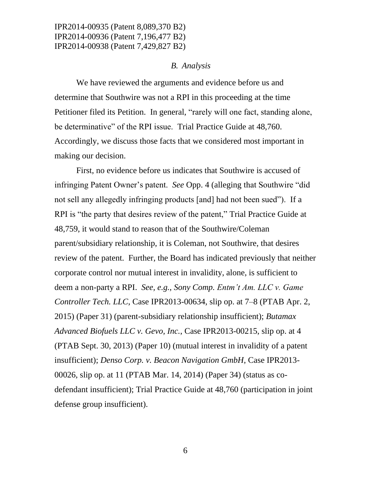#### *B. Analysis*

We have reviewed the arguments and evidence before us and determine that Southwire was not a RPI in this proceeding at the time Petitioner filed its Petition. In general, "rarely will one fact, standing alone, be determinative" of the RPI issue. Trial Practice Guide at 48,760. Accordingly, we discuss those facts that we considered most important in making our decision.

First, no evidence before us indicates that Southwire is accused of infringing Patent Owner's patent. *See* Opp. 4 (alleging that Southwire "did not sell any allegedly infringing products [and] had not been sued"). If a RPI is "the party that desires review of the patent," Trial Practice Guide at 48,759, it would stand to reason that of the Southwire/Coleman parent/subsidiary relationship, it is Coleman, not Southwire, that desires review of the patent. Further, the Board has indicated previously that neither corporate control nor mutual interest in invalidity, alone, is sufficient to deem a non-party a RPI. *See, e.g.*, *Sony Comp. Entm't Am. LLC v. Game Controller Tech. LLC*, Case IPR2013-00634, slip op. at 7–8 (PTAB Apr. 2, 2015) (Paper 31) (parent-subsidiary relationship insufficient); *Butamax Advanced Biofuels LLC v. Gevo, Inc.*, Case IPR2013-00215, slip op. at 4 (PTAB Sept. 30, 2013) (Paper 10) (mutual interest in invalidity of a patent insufficient); *Denso Corp. v. Beacon Navigation GmbH*, Case IPR2013- 00026, slip op. at 11 (PTAB Mar. 14, 2014) (Paper 34) (status as codefendant insufficient); Trial Practice Guide at 48,760 (participation in joint defense group insufficient).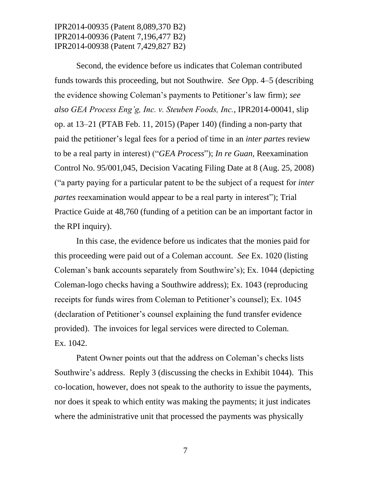Second, the evidence before us indicates that Coleman contributed funds towards this proceeding, but not Southwire. *See* Opp. 4–5 (describing the evidence showing Coleman's payments to Petitioner's law firm); *see also GEA Process Eng'g, Inc. v. Steuben Foods, Inc.*, IPR2014-00041, slip op. at 13–21 (PTAB Feb. 11, 2015) (Paper 140) (finding a non-party that paid the petitioner's legal fees for a period of time in an *inter partes* review to be a real party in interest) ("*GEA Process*"); *In re Guan*, Reexamination Control No. 95/001,045, Decision Vacating Filing Date at 8 (Aug. 25, 2008) ("a party paying for a particular patent to be the subject of a request for *inter partes* reexamination would appear to be a real party in interest"); Trial Practice Guide at 48,760 (funding of a petition can be an important factor in the RPI inquiry).

In this case, the evidence before us indicates that the monies paid for this proceeding were paid out of a Coleman account. *See* Ex. 1020 (listing Coleman's bank accounts separately from Southwire's); Ex. 1044 (depicting Coleman-logo checks having a Southwire address); Ex. 1043 (reproducing receipts for funds wires from Coleman to Petitioner's counsel); Ex. 1045 (declaration of Petitioner's counsel explaining the fund transfer evidence provided). The invoices for legal services were directed to Coleman. Ex. 1042.

Patent Owner points out that the address on Coleman's checks lists Southwire's address. Reply 3 (discussing the checks in Exhibit 1044). This co-location, however, does not speak to the authority to issue the payments, nor does it speak to which entity was making the payments; it just indicates where the administrative unit that processed the payments was physically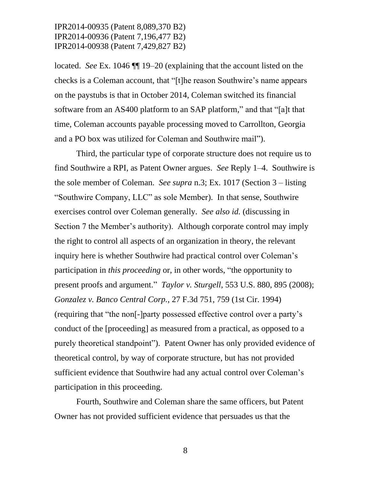located. *See* Ex. 1046 ¶¶ 19–20 (explaining that the account listed on the checks is a Coleman account, that "[t]he reason Southwire's name appears on the paystubs is that in October 2014, Coleman switched its financial software from an AS400 platform to an SAP platform," and that "[a]t that time, Coleman accounts payable processing moved to Carrollton, Georgia and a PO box was utilized for Coleman and Southwire mail").

Third, the particular type of corporate structure does not require us to find Southwire a RPI, as Patent Owner argues. *See* Reply 1–4. Southwire is the sole member of Coleman. *See supra* n.3; Ex. 1017 (Section 3 – listing "Southwire Company, LLC" as sole Member). In that sense, Southwire exercises control over Coleman generally. *See also id.* (discussing in Section 7 the Member's authority). Although corporate control may imply the right to control all aspects of an organization in theory, the relevant inquiry here is whether Southwire had practical control over Coleman's participation in *this proceeding* or, in other words, "the opportunity to present proofs and argument." *Taylor v. Sturgell*, 553 U.S. 880, 895 (2008); *Gonzalez v. Banco Central Corp.*, 27 F.3d 751, 759 (1st Cir. 1994) (requiring that "the non[-]party possessed effective control over a party's conduct of the [proceeding] as measured from a practical, as opposed to a purely theoretical standpoint"). Patent Owner has only provided evidence of theoretical control, by way of corporate structure, but has not provided sufficient evidence that Southwire had any actual control over Coleman's participation in this proceeding.

Fourth, Southwire and Coleman share the same officers, but Patent Owner has not provided sufficient evidence that persuades us that the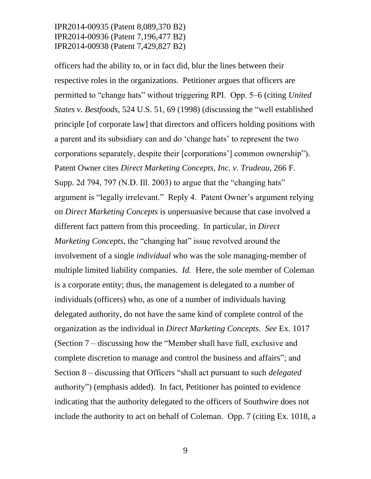officers had the ability to, or in fact did, blur the lines between their respective roles in the organizations. Petitioner argues that officers are permitted to "change hats" without triggering RPI. Opp. 5–6 (citing *United States v. Bestfoods*, 524 U.S. 51, 69 (1998) (discussing the "well established principle [of corporate law] that directors and officers holding positions with a parent and its subsidiary can and do 'change hats' to represent the two corporations separately, despite their [corporations'] common ownership"). Patent Owner cites *Direct Marketing Concepts, Inc. v. Trudeau*, 266 F. Supp. 2d 794, 797 (N.D. Ill. 2003) to argue that the "changing hats" argument is "legally irrelevant." Reply 4. Patent Owner's argument relying on *Direct Marketing Concepts* is unpersuasive because that case involved a different fact pattern from this proceeding. In particular, in *Direct Marketing Concepts*, the "changing hat" issue revolved around the involvement of a single *individual* who was the sole managing-member of multiple limited liability companies. *Id.* Here, the sole member of Coleman is a corporate entity; thus, the management is delegated to a number of individuals (officers) who, as one of a number of individuals having delegated authority, do not have the same kind of complete control of the organization as the individual in *Direct Marketing Concepts*. *See* Ex. 1017 (Section 7 – discussing how the "Member shall have full, exclusive and complete discretion to manage and control the business and affairs"; and Section 8 – discussing that Officers "shall act pursuant to such *delegated* authority") (emphasis added). In fact, Petitioner has pointed to evidence indicating that the authority delegated to the officers of Southwire does not include the authority to act on behalf of Coleman. Opp. 7 (citing Ex. 1018, a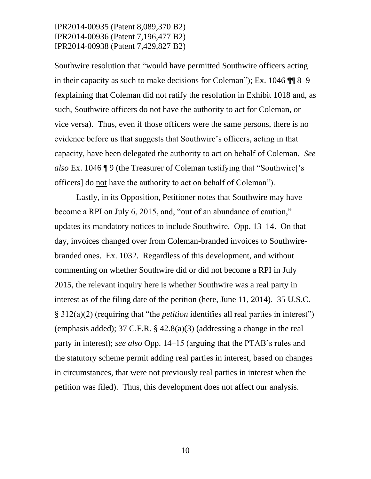Southwire resolution that "would have permitted Southwire officers acting in their capacity as such to make decisions for Coleman"); Ex. 1046 ¶¶ 8–9 (explaining that Coleman did not ratify the resolution in Exhibit 1018 and, as such, Southwire officers do not have the authority to act for Coleman, or vice versa). Thus, even if those officers were the same persons, there is no evidence before us that suggests that Southwire's officers, acting in that capacity, have been delegated the authority to act on behalf of Coleman. *See also* Ex. 1046 ¶ 9 (the Treasurer of Coleman testifying that "Southwire['s officers] do not have the authority to act on behalf of Coleman").

Lastly, in its Opposition, Petitioner notes that Southwire may have become a RPI on July 6, 2015, and, "out of an abundance of caution," updates its mandatory notices to include Southwire. Opp. 13–14. On that day, invoices changed over from Coleman-branded invoices to Southwirebranded ones. Ex. 1032. Regardless of this development, and without commenting on whether Southwire did or did not become a RPI in July 2015, the relevant inquiry here is whether Southwire was a real party in interest as of the filing date of the petition (here, June 11, 2014). 35 U.S.C. § 312(a)(2) (requiring that "the *petition* identifies all real parties in interest") (emphasis added); 37 C.F.R. § 42.8(a)(3) (addressing a change in the real party in interest); *see also* Opp. 14–15 (arguing that the PTAB's rules and the statutory scheme permit adding real parties in interest, based on changes in circumstances, that were not previously real parties in interest when the petition was filed). Thus, this development does not affect our analysis.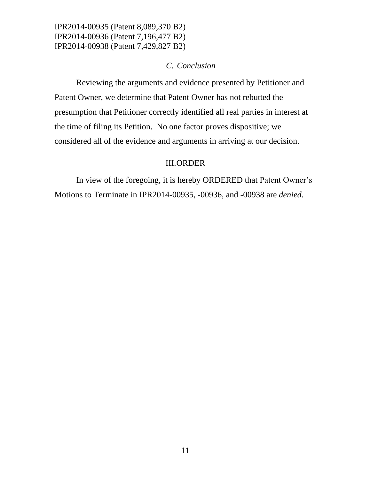#### *C. Conclusion*

Reviewing the arguments and evidence presented by Petitioner and Patent Owner, we determine that Patent Owner has not rebutted the presumption that Petitioner correctly identified all real parties in interest at the time of filing its Petition. No one factor proves dispositive; we considered all of the evidence and arguments in arriving at our decision.

#### III.ORDER

In view of the foregoing, it is hereby ORDERED that Patent Owner's Motions to Terminate in IPR2014-00935, -00936, and -00938 are *denied.*